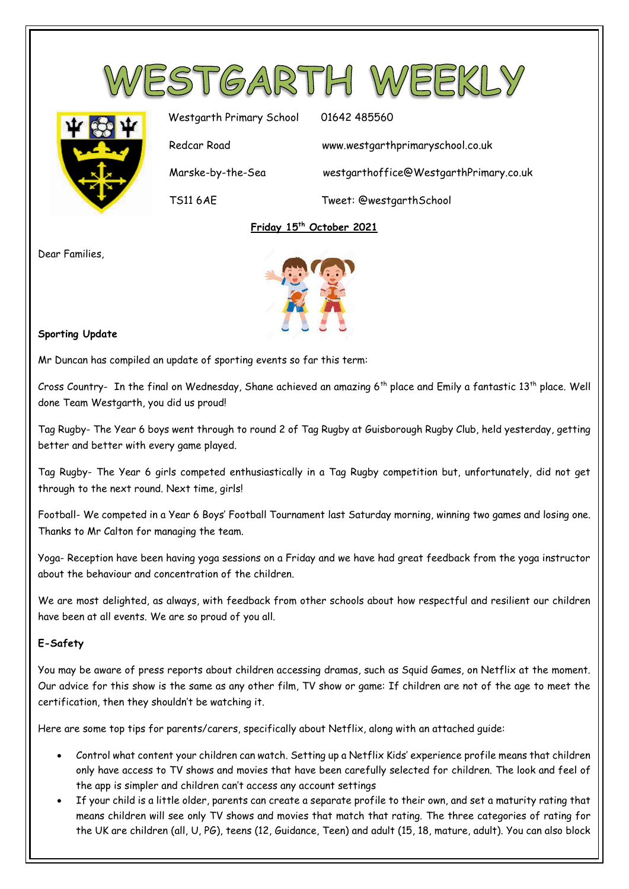



Westgarth Primary School 01642 485560 Redcar Road www.westgarthprimaryschool.co.uk Marske-by-the-Sea westgarthoffice@WestgarthPrimary.co.uk TS11 6AE Tweet: @westgarthSchool

# **Friday 15th October 2021**

Dear Families,



## **Sporting Update**

Mr Duncan has compiled an update of sporting events so far this term:

Cross Country- In the final on Wednesday, Shane achieved an amazing  $6^{th}$  place and Emily a fantastic 13<sup>th</sup> place. Well done Team Westgarth, you did us proud!

Tag Rugby- The Year 6 boys went through to round 2 of Tag Rugby at Guisborough Rugby Club, held yesterday, getting better and better with every game played.

Tag Rugby- The Year 6 girls competed enthusiastically in a Tag Rugby competition but, unfortunately, did not get through to the next round. Next time, girls!

Football- We competed in a Year 6 Boys' Football Tournament last Saturday morning, winning two games and losing one. Thanks to Mr Calton for managing the team.

Yoga- Reception have been having yoga sessions on a Friday and we have had great feedback from the yoga instructor about the behaviour and concentration of the children.

We are most delighted, as always, with feedback from other schools about how respectful and resilient our children have been at all events. We are so proud of you all.

# **E-Safety**

You may be aware of press reports about children accessing dramas, such as Squid Games, on Netflix at the moment. Our advice for this show is the same as any other film, TV show or game: If children are not of the age to meet the certification, then they shouldn't be watching it.

Here are some top tips for parents/carers, specifically about Netflix, along with an attached guide:

- Control what content your children can watch. Setting up a Netflix Kids' experience profile means that children only have access to TV shows and movies that have been carefully selected for children. The look and feel of the app is simpler and children can't access any account settings
- If your child is a little older, parents can create a separate profile to their own, and set a maturity rating that means children will see only TV shows and movies that match that rating. The three categories of rating for the UK are children (all, U, PG), teens (12, Guidance, Teen) and adult (15, 18, mature, adult). You can also block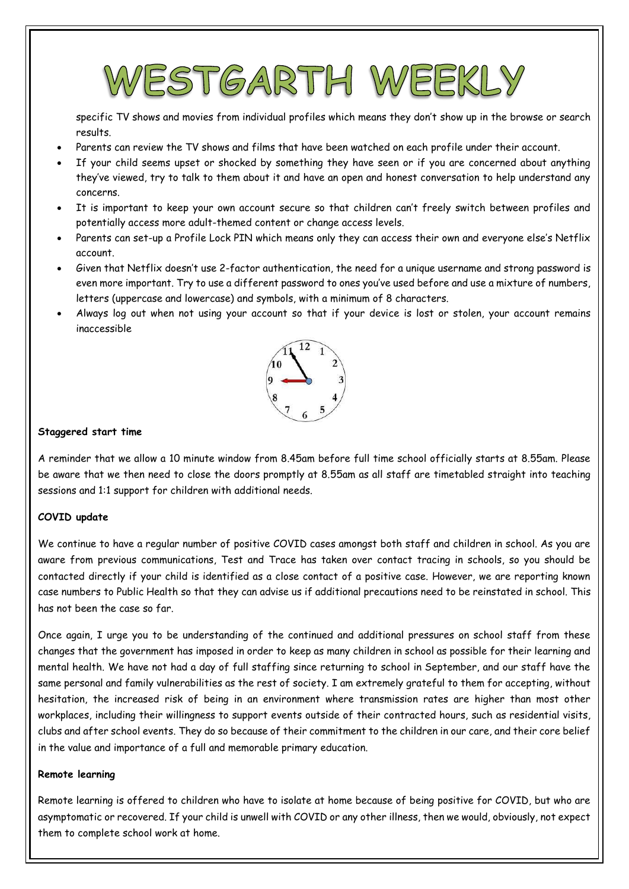# ESTGARTH WEI

specific TV shows and movies from individual profiles which means they don't show up in the browse or search results.

- Parents can review the TV shows and films that have been watched on each profile under their account.
- If your child seems upset or shocked by something they have seen or if you are concerned about anything they've viewed, try to talk to them about it and have an open and honest conversation to help understand any concerns.
- It is important to keep your own account secure so that children can't freely switch between profiles and potentially access more adult-themed content or change access levels.
- Parents can set-up a Profile Lock PIN which means only they can access their own and everyone else's Netflix account.
- Given that Netflix doesn't use 2-factor authentication, the need for a unique username and strong password is even more important. Try to use a different password to ones you've used before and use a mixture of numbers, letters (uppercase and lowercase) and symbols, with a minimum of 8 characters.
- Always log out when not using your account so that if your device is lost or stolen, your account remains inaccessible



## **Staggered start time**

A reminder that we allow a 10 minute window from 8.45am before full time school officially starts at 8.55am. Please be aware that we then need to close the doors promptly at 8.55am as all staff are timetabled straight into teaching sessions and 1:1 support for children with additional needs.

# **COVID update**

We continue to have a regular number of positive COVID cases amongst both staff and children in school. As you are aware from previous communications, Test and Trace has taken over contact tracing in schools, so you should be contacted directly if your child is identified as a close contact of a positive case. However, we are reporting known case numbers to Public Health so that they can advise us if additional precautions need to be reinstated in school. This has not been the case so far.

Once again, I urge you to be understanding of the continued and additional pressures on school staff from these changes that the government has imposed in order to keep as many children in school as possible for their learning and mental health. We have not had a day of full staffing since returning to school in September, and our staff have the same personal and family vulnerabilities as the rest of society. I am extremely grateful to them for accepting, without hesitation, the increased risk of being in an environment where transmission rates are higher than most other workplaces, including their willingness to support events outside of their contracted hours, such as residential visits, clubs and after school events. They do so because of their commitment to the children in our care, and their core belief in the value and importance of a full and memorable primary education.

#### **Remote learning**

Remote learning is offered to children who have to isolate at home because of being positive for COVID, but who are asymptomatic or recovered. If your child is unwell with COVID or any other illness, then we would, obviously, not expect them to complete school work at home.